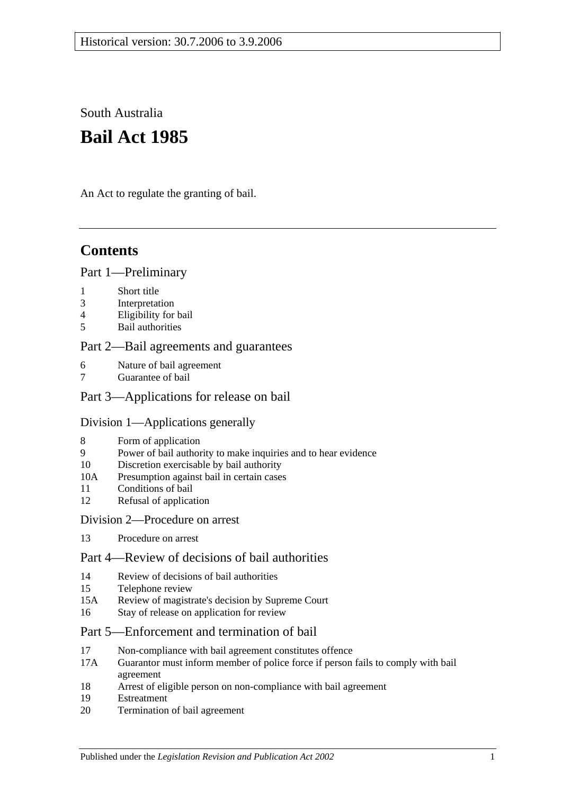South Australia

# **Bail Act 1985**

An Act to regulate the granting of bail.

# **Contents**

#### [Part 1—Preliminary](#page-1-0)

- 1 [Short title](#page-1-1)
- 3 [Interpretation](#page-1-2)
- 4 [Eligibility for bail](#page-2-0)
- 5 [Bail authorities](#page-3-0)

#### [Part 2—Bail agreements and guarantees](#page-3-1)

- 6 [Nature of bail agreement](#page-3-2)
- [Guarantee of bail](#page-5-0)

#### [Part 3—Applications for release on bail](#page-5-1)

#### [Division 1—Applications generally](#page-5-2)

- 8 [Form of application](#page-5-3)
- 9 [Power of bail authority to make inquiries and to hear evidence](#page-6-0)
- 10 [Discretion exercisable by bail authority](#page-6-1)
- 10A [Presumption against bail in certain cases](#page-7-0)
- 11 [Conditions of bail](#page-7-1)
- 12 [Refusal of application](#page-10-0)

#### [Division 2—Procedure on arrest](#page-10-1)

13 [Procedure on arrest](#page-10-2)

### [Part 4—Review of decisions of bail authorities](#page-11-0)

- 14 [Review of decisions of bail authorities](#page-11-1)
- 15 [Telephone review](#page-11-2)
- 15A Review [of magistrate's decision by Supreme Court](#page-12-0)
- 16 [Stay of release on application for review](#page-13-0)

#### [Part 5—Enforcement and](#page-13-1) termination of bail

- 17 [Non-compliance with bail agreement constitutes offence](#page-13-2)
- 17A [Guarantor must inform member of police force if person fails to comply with bail](#page-14-0)  [agreement](#page-14-0)
- 18 [Arrest of eligible person on non-compliance with bail agreement](#page-14-1)
- 19 [Estreatment](#page-14-2)
- 20 [Termination of bail agreement](#page-15-0)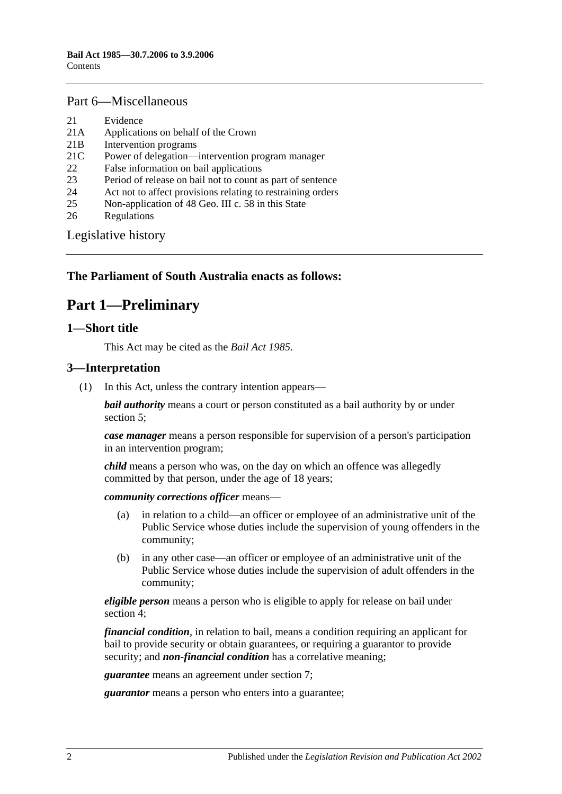#### [Part 6—Miscellaneous](#page-15-1)

- 21 [Evidence](#page-15-2)
- 21A [Applications on behalf of the Crown](#page-15-3)
- 21B [Intervention programs](#page-15-4)
- 21C [Power of delegation—intervention program manager](#page-16-0)
- 22 [False information on bail applications](#page-17-0)
- 23 [Period of release on bail not to count as part of sentence](#page-17-1)
- 24 [Act not to affect provisions relating to restraining orders](#page-17-2)
- 25 [Non-application of 48 Geo. III c. 58 in this State](#page-17-3)
- 26 [Regulations](#page-17-4)

[Legislative history](#page-18-0)

#### <span id="page-1-0"></span>**The Parliament of South Australia enacts as follows:**

### **Part 1—Preliminary**

#### <span id="page-1-1"></span>**1—Short title**

This Act may be cited as the *Bail Act 1985*.

#### <span id="page-1-2"></span>**3—Interpretation**

(1) In this Act, unless the contrary intention appears—

*bail authority* means a court or person constituted as a bail authority by or under [section](#page-3-0) 5;

*case manager* means a person responsible for supervision of a person's participation in an intervention program;

*child* means a person who was, on the day on which an offence was allegedly committed by that person, under the age of 18 years;

*community corrections officer* means—

- (a) in relation to a child—an officer or employee of an administrative unit of the Public Service whose duties include the supervision of young offenders in the community;
- (b) in any other case—an officer or employee of an administrative unit of the Public Service whose duties include the supervision of adult offenders in the community;

*eligible person* means a person who is eligible to apply for release on bail under [section](#page-2-0) 4;

*financial condition*, in relation to bail, means a condition requiring an applicant for bail to provide security or obtain guarantees, or requiring a guarantor to provide security; and *non-financial condition* has a correlative meaning;

*guarantee* means an agreement under [section](#page-5-0) 7;

*guarantor* means a person who enters into a guarantee;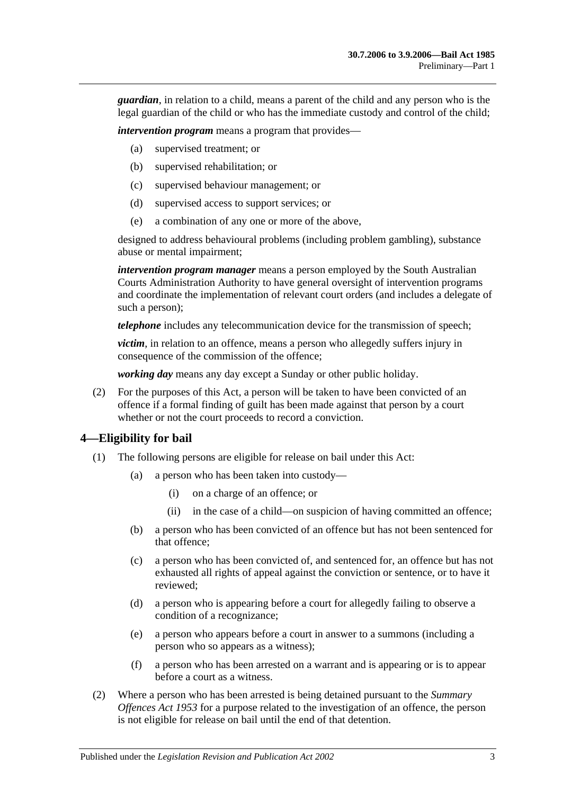*guardian*, in relation to a child, means a parent of the child and any person who is the legal guardian of the child or who has the immediate custody and control of the child;

*intervention program* means a program that provides—

- (a) supervised treatment; or
- (b) supervised rehabilitation; or
- (c) supervised behaviour management; or
- (d) supervised access to support services; or
- (e) a combination of any one or more of the above,

designed to address behavioural problems (including problem gambling), substance abuse or mental impairment;

*intervention program manager* means a person employed by the South Australian Courts Administration Authority to have general oversight of intervention programs and coordinate the implementation of relevant court orders (and includes a delegate of such a person);

*telephone* includes any telecommunication device for the transmission of speech;

*victim*, in relation to an offence, means a person who allegedly suffers injury in consequence of the commission of the offence;

*working day* means any day except a Sunday or other public holiday.

(2) For the purposes of this Act, a person will be taken to have been convicted of an offence if a formal finding of guilt has been made against that person by a court whether or not the court proceeds to record a conviction.

#### <span id="page-2-0"></span>**4—Eligibility for bail**

- (1) The following persons are eligible for release on bail under this Act:
	- (a) a person who has been taken into custody—
		- (i) on a charge of an offence; or
		- (ii) in the case of a child—on suspicion of having committed an offence;
	- (b) a person who has been convicted of an offence but has not been sentenced for that offence;
	- (c) a person who has been convicted of, and sentenced for, an offence but has not exhausted all rights of appeal against the conviction or sentence, or to have it reviewed;
	- (d) a person who is appearing before a court for allegedly failing to observe a condition of a recognizance;
	- (e) a person who appears before a court in answer to a summons (including a person who so appears as a witness);
	- (f) a person who has been arrested on a warrant and is appearing or is to appear before a court as a witness.
- (2) Where a person who has been arrested is being detained pursuant to the *[Summary](http://www.legislation.sa.gov.au/index.aspx?action=legref&type=act&legtitle=Summary%20Offences%20Act%201953)  [Offences Act](http://www.legislation.sa.gov.au/index.aspx?action=legref&type=act&legtitle=Summary%20Offences%20Act%201953) 1953* for a purpose related to the investigation of an offence, the person is not eligible for release on bail until the end of that detention.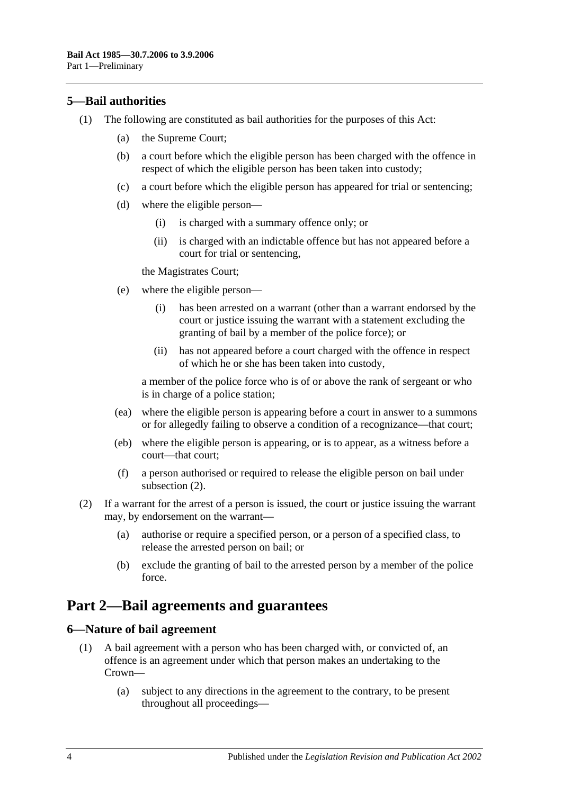#### <span id="page-3-0"></span>**5—Bail authorities**

- (1) The following are constituted as bail authorities for the purposes of this Act:
	- (a) the Supreme Court;
	- (b) a court before which the eligible person has been charged with the offence in respect of which the eligible person has been taken into custody;
	- (c) a court before which the eligible person has appeared for trial or sentencing;
	- (d) where the eligible person—
		- (i) is charged with a summary offence only; or
		- (ii) is charged with an indictable offence but has not appeared before a court for trial or sentencing,

the Magistrates Court;

- (e) where the eligible person—
	- (i) has been arrested on a warrant (other than a warrant endorsed by the court or justice issuing the warrant with a statement excluding the granting of bail by a member of the police force); or
	- (ii) has not appeared before a court charged with the offence in respect of which he or she has been taken into custody,

a member of the police force who is of or above the rank of sergeant or who is in charge of a police station;

- (ea) where the eligible person is appearing before a court in answer to a summons or for allegedly failing to observe a condition of a recognizance—that court;
- (eb) where the eligible person is appearing, or is to appear, as a witness before a court—that court;
- (f) a person authorised or required to release the eligible person on bail under [subsection](#page-3-3) (2).
- <span id="page-3-3"></span>(2) If a warrant for the arrest of a person is issued, the court or justice issuing the warrant may, by endorsement on the warrant—
	- (a) authorise or require a specified person, or a person of a specified class, to release the arrested person on bail; or
	- (b) exclude the granting of bail to the arrested person by a member of the police force.

### <span id="page-3-1"></span>**Part 2—Bail agreements and guarantees**

#### <span id="page-3-4"></span><span id="page-3-2"></span>**6—Nature of bail agreement**

- (1) A bail agreement with a person who has been charged with, or convicted of, an offence is an agreement under which that person makes an undertaking to the Crown—
	- (a) subject to any directions in the agreement to the contrary, to be present throughout all proceedings—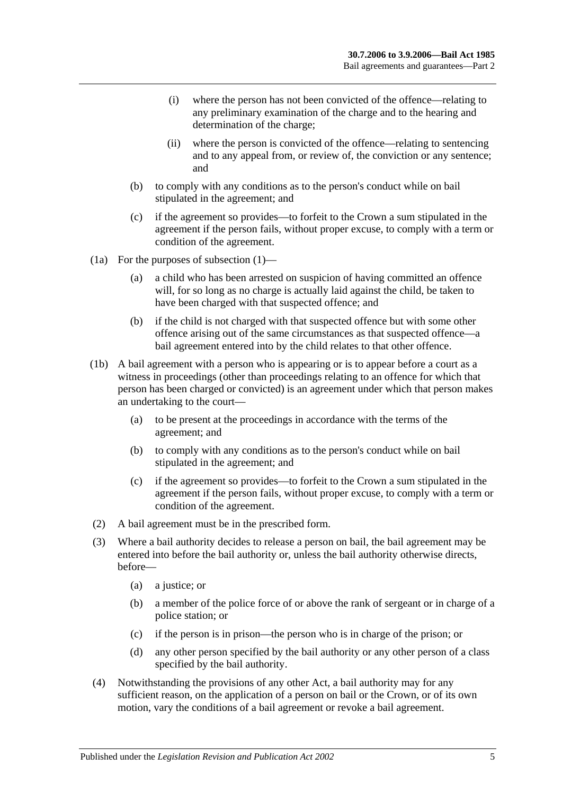- (i) where the person has not been convicted of the offence—relating to any preliminary examination of the charge and to the hearing and determination of the charge;
- (ii) where the person is convicted of the offence—relating to sentencing and to any appeal from, or review of, the conviction or any sentence; and
- (b) to comply with any conditions as to the person's conduct while on bail stipulated in the agreement; and
- (c) if the agreement so provides—to forfeit to the Crown a sum stipulated in the agreement if the person fails, without proper excuse, to comply with a term or condition of the agreement.
- (1a) For the purposes of [subsection](#page-3-4) (1)—
	- (a) a child who has been arrested on suspicion of having committed an offence will, for so long as no charge is actually laid against the child, be taken to have been charged with that suspected offence; and
	- (b) if the child is not charged with that suspected offence but with some other offence arising out of the same circumstances as that suspected offence—a bail agreement entered into by the child relates to that other offence.
- (1b) A bail agreement with a person who is appearing or is to appear before a court as a witness in proceedings (other than proceedings relating to an offence for which that person has been charged or convicted) is an agreement under which that person makes an undertaking to the court—
	- (a) to be present at the proceedings in accordance with the terms of the agreement; and
	- (b) to comply with any conditions as to the person's conduct while on bail stipulated in the agreement; and
	- (c) if the agreement so provides—to forfeit to the Crown a sum stipulated in the agreement if the person fails, without proper excuse, to comply with a term or condition of the agreement.
- (2) A bail agreement must be in the prescribed form.
- (3) Where a bail authority decides to release a person on bail, the bail agreement may be entered into before the bail authority or, unless the bail authority otherwise directs, before—
	- (a) a justice; or
	- (b) a member of the police force of or above the rank of sergeant or in charge of a police station; or
	- (c) if the person is in prison—the person who is in charge of the prison; or
	- (d) any other person specified by the bail authority or any other person of a class specified by the bail authority.
- (4) Notwithstanding the provisions of any other Act, a bail authority may for any sufficient reason, on the application of a person on bail or the Crown, or of its own motion, vary the conditions of a bail agreement or revoke a bail agreement.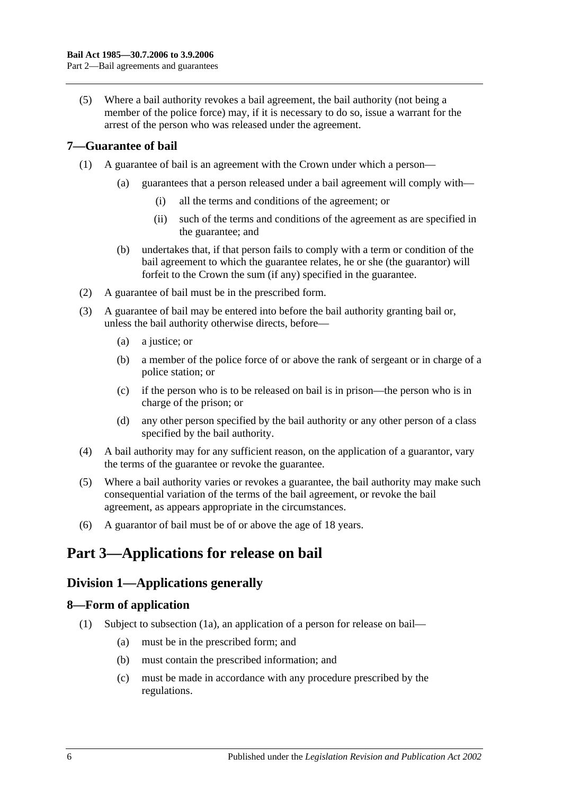(5) Where a bail authority revokes a bail agreement, the bail authority (not being a member of the police force) may, if it is necessary to do so, issue a warrant for the arrest of the person who was released under the agreement.

#### <span id="page-5-0"></span>**7—Guarantee of bail**

- (1) A guarantee of bail is an agreement with the Crown under which a person—
	- (a) guarantees that a person released under a bail agreement will comply with—
		- (i) all the terms and conditions of the agreement; or
		- (ii) such of the terms and conditions of the agreement as are specified in the guarantee; and
	- (b) undertakes that, if that person fails to comply with a term or condition of the bail agreement to which the guarantee relates, he or she (the guarantor) will forfeit to the Crown the sum (if any) specified in the guarantee.
- (2) A guarantee of bail must be in the prescribed form.
- (3) A guarantee of bail may be entered into before the bail authority granting bail or, unless the bail authority otherwise directs, before—
	- (a) a justice; or
	- (b) a member of the police force of or above the rank of sergeant or in charge of a police station; or
	- (c) if the person who is to be released on bail is in prison—the person who is in charge of the prison; or
	- (d) any other person specified by the bail authority or any other person of a class specified by the bail authority.
- (4) A bail authority may for any sufficient reason, on the application of a guarantor, vary the terms of the guarantee or revoke the guarantee.
- (5) Where a bail authority varies or revokes a guarantee, the bail authority may make such consequential variation of the terms of the bail agreement, or revoke the bail agreement, as appears appropriate in the circumstances.
- (6) A guarantor of bail must be of or above the age of 18 years.

### <span id="page-5-2"></span><span id="page-5-1"></span>**Part 3—Applications for release on bail**

### **Division 1—Applications generally**

#### <span id="page-5-4"></span><span id="page-5-3"></span>**8—Form of application**

- (1) Subject to [subsection](#page-6-2) (1a), an application of a person for release on bail—
	- (a) must be in the prescribed form; and
	- (b) must contain the prescribed information; and
	- (c) must be made in accordance with any procedure prescribed by the regulations.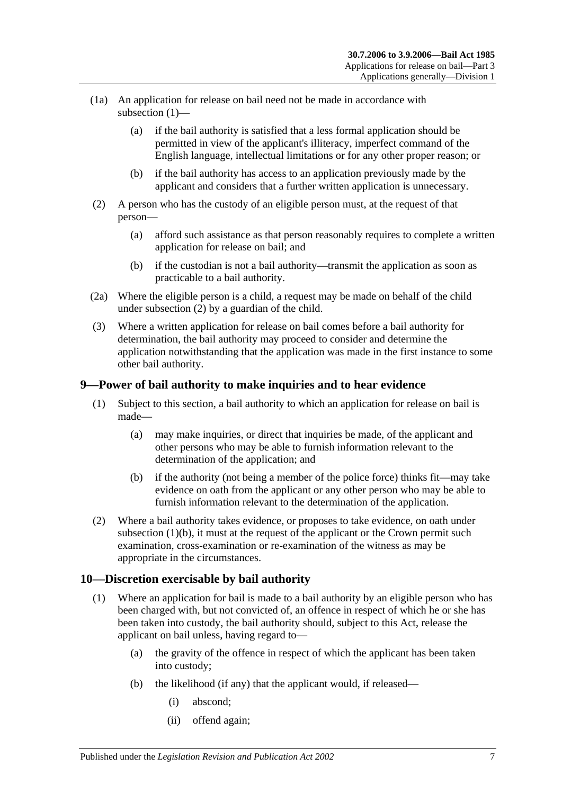- <span id="page-6-2"></span>(1a) An application for release on bail need not be made in accordance with [subsection](#page-5-4) (1)—
	- (a) if the bail authority is satisfied that a less formal application should be permitted in view of the applicant's illiteracy, imperfect command of the English language, intellectual limitations or for any other proper reason; or
	- (b) if the bail authority has access to an application previously made by the applicant and considers that a further written application is unnecessary.
- <span id="page-6-3"></span>(2) A person who has the custody of an eligible person must, at the request of that person—
	- (a) afford such assistance as that person reasonably requires to complete a written application for release on bail; and
	- (b) if the custodian is not a bail authority—transmit the application as soon as practicable to a bail authority.
- (2a) Where the eligible person is a child, a request may be made on behalf of the child under [subsection](#page-6-3) (2) by a guardian of the child.
- (3) Where a written application for release on bail comes before a bail authority for determination, the bail authority may proceed to consider and determine the application notwithstanding that the application was made in the first instance to some other bail authority.

#### <span id="page-6-0"></span>**9—Power of bail authority to make inquiries and to hear evidence**

- (1) Subject to this section, a bail authority to which an application for release on bail is made—
	- (a) may make inquiries, or direct that inquiries be made, of the applicant and other persons who may be able to furnish information relevant to the determination of the application; and
	- (b) if the authority (not being a member of the police force) thinks fit—may take evidence on oath from the applicant or any other person who may be able to furnish information relevant to the determination of the application.
- <span id="page-6-4"></span>(2) Where a bail authority takes evidence, or proposes to take evidence, on oath under [subsection](#page-6-4)  $(1)(b)$ , it must at the request of the applicant or the Crown permit such examination, cross-examination or re-examination of the witness as may be appropriate in the circumstances.

#### <span id="page-6-1"></span>**10—Discretion exercisable by bail authority**

- (1) Where an application for bail is made to a bail authority by an eligible person who has been charged with, but not convicted of, an offence in respect of which he or she has been taken into custody, the bail authority should, subject to this Act, release the applicant on bail unless, having regard to—
	- (a) the gravity of the offence in respect of which the applicant has been taken into custody;
	- (b) the likelihood (if any) that the applicant would, if released—
		- (i) abscond;
		- (ii) offend again;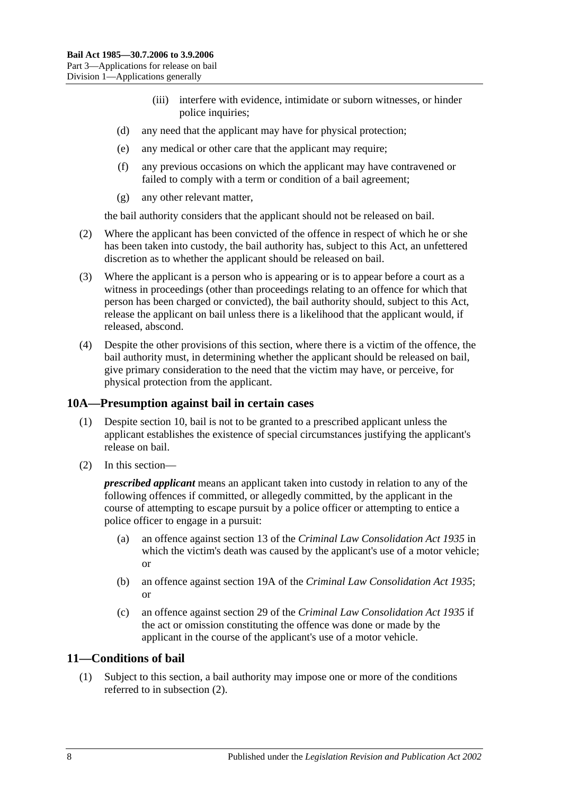- (iii) interfere with evidence, intimidate or suborn witnesses, or hinder police inquiries;
- (d) any need that the applicant may have for physical protection;
- (e) any medical or other care that the applicant may require;
- (f) any previous occasions on which the applicant may have contravened or failed to comply with a term or condition of a bail agreement;
- (g) any other relevant matter,

the bail authority considers that the applicant should not be released on bail.

- (2) Where the applicant has been convicted of the offence in respect of which he or she has been taken into custody, the bail authority has, subject to this Act, an unfettered discretion as to whether the applicant should be released on bail.
- (3) Where the applicant is a person who is appearing or is to appear before a court as a witness in proceedings (other than proceedings relating to an offence for which that person has been charged or convicted), the bail authority should, subject to this Act, release the applicant on bail unless there is a likelihood that the applicant would, if released, abscond.
- (4) Despite the other provisions of this section, where there is a victim of the offence, the bail authority must, in determining whether the applicant should be released on bail, give primary consideration to the need that the victim may have, or perceive, for physical protection from the applicant.

#### <span id="page-7-0"></span>**10A—Presumption against bail in certain cases**

- (1) Despite [section](#page-6-1) 10, bail is not to be granted to a prescribed applicant unless the applicant establishes the existence of special circumstances justifying the applicant's release on bail.
- (2) In this section—

*prescribed applicant* means an applicant taken into custody in relation to any of the following offences if committed, or allegedly committed, by the applicant in the course of attempting to escape pursuit by a police officer or attempting to entice a police officer to engage in a pursuit:

- (a) an offence against section 13 of the *[Criminal Law Consolidation Act](http://www.legislation.sa.gov.au/index.aspx?action=legref&type=act&legtitle=Criminal%20Law%20Consolidation%20Act%201935) 1935* in which the victim's death was caused by the applicant's use of a motor vehicle; or
- (b) an offence against section 19A of the *[Criminal Law Consolidation Act](http://www.legislation.sa.gov.au/index.aspx?action=legref&type=act&legtitle=Criminal%20Law%20Consolidation%20Act%201935) 1935*; or
- (c) an offence against section 29 of the *[Criminal Law Consolidation Act](http://www.legislation.sa.gov.au/index.aspx?action=legref&type=act&legtitle=Criminal%20Law%20Consolidation%20Act%201935) 1935* if the act or omission constituting the offence was done or made by the applicant in the course of the applicant's use of a motor vehicle.

#### <span id="page-7-1"></span>**11—Conditions of bail**

(1) Subject to this section, a bail authority may impose one or more of the conditions referred to in [subsection](#page-8-0) (2).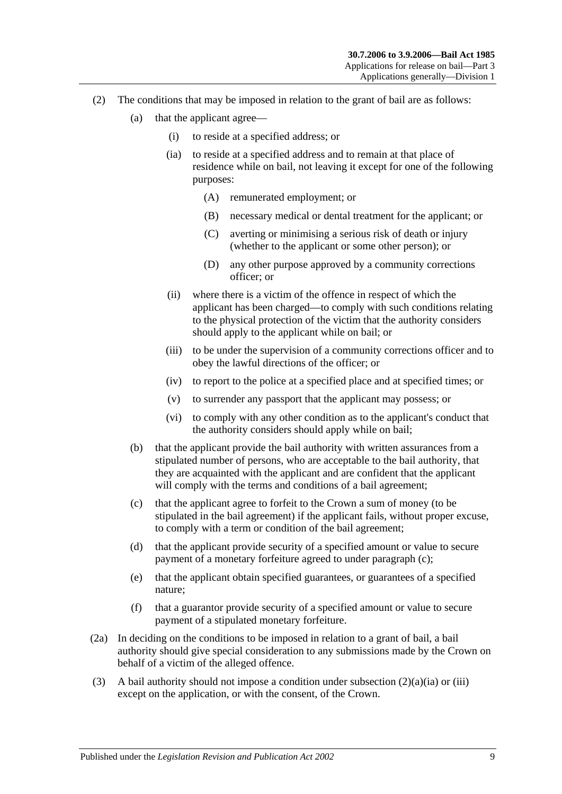- <span id="page-8-3"></span><span id="page-8-2"></span><span id="page-8-0"></span>(2) The conditions that may be imposed in relation to the grant of bail are as follows:
	- (a) that the applicant agree—
		- (i) to reside at a specified address; or
		- (ia) to reside at a specified address and to remain at that place of residence while on bail, not leaving it except for one of the following purposes:
			- (A) remunerated employment; or
			- (B) necessary medical or dental treatment for the applicant; or
			- (C) averting or minimising a serious risk of death or injury (whether to the applicant or some other person); or
			- (D) any other purpose approved by a community corrections officer; or
		- (ii) where there is a victim of the offence in respect of which the applicant has been charged—to comply with such conditions relating to the physical protection of the victim that the authority considers should apply to the applicant while on bail; or
		- (iii) to be under the supervision of a community corrections officer and to obey the lawful directions of the officer; or
		- (iv) to report to the police at a specified place and at specified times; or
		- (v) to surrender any passport that the applicant may possess; or
		- (vi) to comply with any other condition as to the applicant's conduct that the authority considers should apply while on bail;
	- (b) that the applicant provide the bail authority with written assurances from a stipulated number of persons, who are acceptable to the bail authority, that they are acquainted with the applicant and are confident that the applicant will comply with the terms and conditions of a bail agreement;
	- (c) that the applicant agree to forfeit to the Crown a sum of money (to be stipulated in the bail agreement) if the applicant fails, without proper excuse, to comply with a term or condition of the bail agreement;
	- (d) that the applicant provide security of a specified amount or value to secure payment of a monetary forfeiture agreed to under [paragraph](#page-8-1) (c);
	- (e) that the applicant obtain specified guarantees, or guarantees of a specified nature;
	- (f) that a guarantor provide security of a specified amount or value to secure payment of a stipulated monetary forfeiture.
- <span id="page-8-1"></span>(2a) In deciding on the conditions to be imposed in relation to a grant of bail, a bail authority should give special consideration to any submissions made by the Crown on behalf of a victim of the alleged offence.
- (3) A bail authority should not impose a condition under [subsection](#page-8-2)  $(2)(a)(ia)$  or [\(iii\)](#page-8-3) except on the application, or with the consent, of the Crown.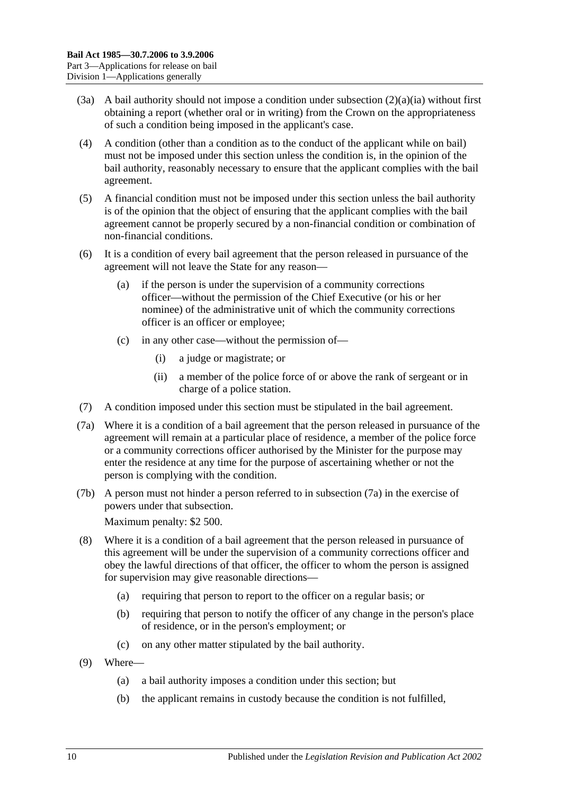- (3a) A bail authority should not impose a condition under [subsection](#page-8-2) (2)(a)(ia) without first obtaining a report (whether oral or in writing) from the Crown on the appropriateness of such a condition being imposed in the applicant's case.
- (4) A condition (other than a condition as to the conduct of the applicant while on bail) must not be imposed under this section unless the condition is, in the opinion of the bail authority, reasonably necessary to ensure that the applicant complies with the bail agreement.
- (5) A financial condition must not be imposed under this section unless the bail authority is of the opinion that the object of ensuring that the applicant complies with the bail agreement cannot be properly secured by a non-financial condition or combination of non-financial conditions.
- (6) It is a condition of every bail agreement that the person released in pursuance of the agreement will not leave the State for any reason—
	- (a) if the person is under the supervision of a community corrections officer—without the permission of the Chief Executive (or his or her nominee) of the administrative unit of which the community corrections officer is an officer or employee;
	- (c) in any other case—without the permission of—
		- (i) a judge or magistrate; or
		- (ii) a member of the police force of or above the rank of sergeant or in charge of a police station.
- (7) A condition imposed under this section must be stipulated in the bail agreement.
- <span id="page-9-0"></span>(7a) Where it is a condition of a bail agreement that the person released in pursuance of the agreement will remain at a particular place of residence, a member of the police force or a community corrections officer authorised by the Minister for the purpose may enter the residence at any time for the purpose of ascertaining whether or not the person is complying with the condition.
- (7b) A person must not hinder a person referred to in [subsection](#page-9-0) (7a) in the exercise of powers under that subsection. Maximum penalty: \$2 500.
- (8) Where it is a condition of a bail agreement that the person released in pursuance of this agreement will be under the supervision of a community corrections officer and obey the lawful directions of that officer, the officer to whom the person is assigned for supervision may give reasonable directions—
	- (a) requiring that person to report to the officer on a regular basis; or
	- (b) requiring that person to notify the officer of any change in the person's place of residence, or in the person's employment; or
	- (c) on any other matter stipulated by the bail authority.
- <span id="page-9-1"></span>(9) Where—
	- (a) a bail authority imposes a condition under this section; but
	- (b) the applicant remains in custody because the condition is not fulfilled,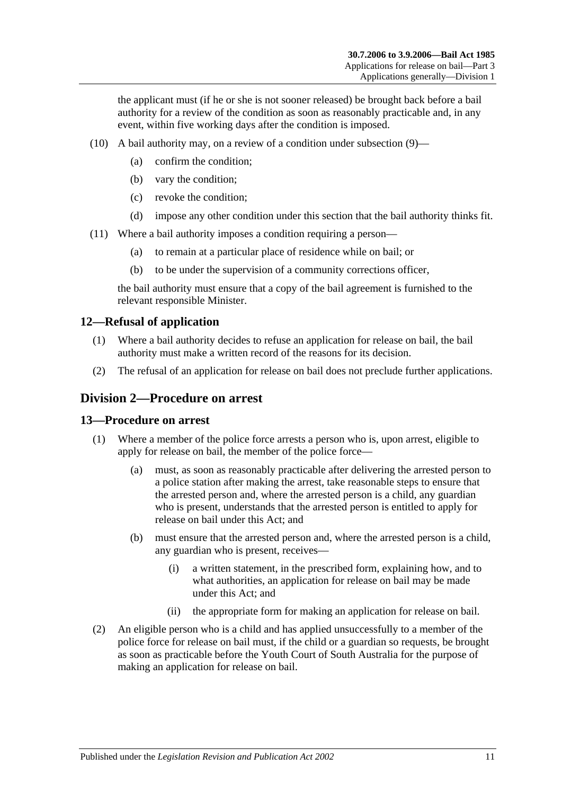the applicant must (if he or she is not sooner released) be brought back before a bail authority for a review of the condition as soon as reasonably practicable and, in any event, within five working days after the condition is imposed.

- (10) A bail authority may, on a review of a condition under [subsection](#page-9-1) (9)—
	- (a) confirm the condition;
	- (b) vary the condition;
	- (c) revoke the condition;
	- (d) impose any other condition under this section that the bail authority thinks fit.
- (11) Where a bail authority imposes a condition requiring a person—
	- (a) to remain at a particular place of residence while on bail; or
	- (b) to be under the supervision of a community corrections officer,

the bail authority must ensure that a copy of the bail agreement is furnished to the relevant responsible Minister.

#### <span id="page-10-0"></span>**12—Refusal of application**

- (1) Where a bail authority decides to refuse an application for release on bail, the bail authority must make a written record of the reasons for its decision.
- (2) The refusal of an application for release on bail does not preclude further applications.

#### <span id="page-10-1"></span>**Division 2—Procedure on arrest**

#### <span id="page-10-2"></span>**13—Procedure on arrest**

- (1) Where a member of the police force arrests a person who is, upon arrest, eligible to apply for release on bail, the member of the police force—
	- (a) must, as soon as reasonably practicable after delivering the arrested person to a police station after making the arrest, take reasonable steps to ensure that the arrested person and, where the arrested person is a child, any guardian who is present, understands that the arrested person is entitled to apply for release on bail under this Act; and
	- (b) must ensure that the arrested person and, where the arrested person is a child, any guardian who is present, receives—
		- (i) a written statement, in the prescribed form, explaining how, and to what authorities, an application for release on bail may be made under this Act; and
		- (ii) the appropriate form for making an application for release on bail.
- (2) An eligible person who is a child and has applied unsuccessfully to a member of the police force for release on bail must, if the child or a guardian so requests, be brought as soon as practicable before the Youth Court of South Australia for the purpose of making an application for release on bail.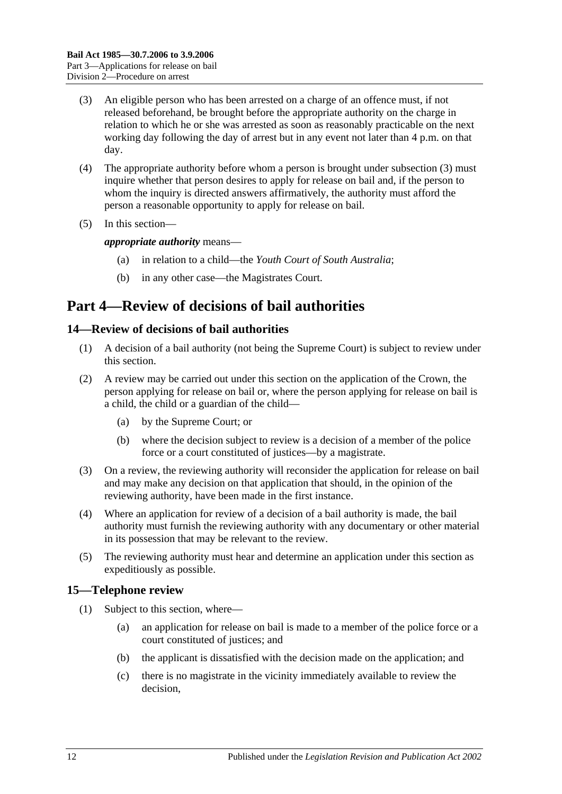- <span id="page-11-3"></span>(3) An eligible person who has been arrested on a charge of an offence must, if not released beforehand, be brought before the appropriate authority on the charge in relation to which he or she was arrested as soon as reasonably practicable on the next working day following the day of arrest but in any event not later than 4 p.m. on that day.
- (4) The appropriate authority before whom a person is brought under [subsection](#page-11-3) (3) must inquire whether that person desires to apply for release on bail and, if the person to whom the inquiry is directed answers affirmatively, the authority must afford the person a reasonable opportunity to apply for release on bail.
- (5) In this section—

*appropriate authority* means—

- (a) in relation to a child—the *Youth Court of South Australia*;
- (b) in any other case—the Magistrates Court.

# <span id="page-11-0"></span>**Part 4—Review of decisions of bail authorities**

#### <span id="page-11-1"></span>**14—Review of decisions of bail authorities**

- (1) A decision of a bail authority (not being the Supreme Court) is subject to review under this section.
- (2) A review may be carried out under this section on the application of the Crown, the person applying for release on bail or, where the person applying for release on bail is a child, the child or a guardian of the child—
	- (a) by the Supreme Court; or
	- (b) where the decision subject to review is a decision of a member of the police force or a court constituted of justices—by a magistrate.
- (3) On a review, the reviewing authority will reconsider the application for release on bail and may make any decision on that application that should, in the opinion of the reviewing authority, have been made in the first instance.
- (4) Where an application for review of a decision of a bail authority is made, the bail authority must furnish the reviewing authority with any documentary or other material in its possession that may be relevant to the review.
- (5) The reviewing authority must hear and determine an application under this section as expeditiously as possible.

### <span id="page-11-4"></span><span id="page-11-2"></span>**15—Telephone review**

- (1) Subject to this section, where—
	- (a) an application for release on bail is made to a member of the police force or a court constituted of justices; and
	- (b) the applicant is dissatisfied with the decision made on the application; and
	- (c) there is no magistrate in the vicinity immediately available to review the decision,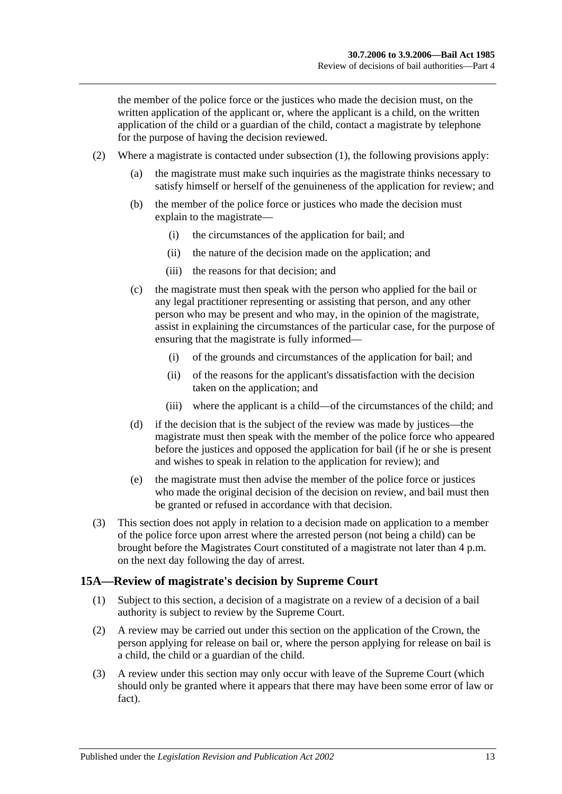the member of the police force or the justices who made the decision must, on the written application of the applicant or, where the applicant is a child, on the written application of the child or a guardian of the child, contact a magistrate by telephone for the purpose of having the decision reviewed.

- (2) Where a magistrate is contacted under [subsection](#page-11-4) (1), the following provisions apply:
	- (a) the magistrate must make such inquiries as the magistrate thinks necessary to satisfy himself or herself of the genuineness of the application for review; and
	- (b) the member of the police force or justices who made the decision must explain to the magistrate—
		- (i) the circumstances of the application for bail; and
		- (ii) the nature of the decision made on the application; and
		- (iii) the reasons for that decision; and
	- (c) the magistrate must then speak with the person who applied for the bail or any legal practitioner representing or assisting that person, and any other person who may be present and who may, in the opinion of the magistrate, assist in explaining the circumstances of the particular case, for the purpose of ensuring that the magistrate is fully informed—
		- (i) of the grounds and circumstances of the application for bail; and
		- (ii) of the reasons for the applicant's dissatisfaction with the decision taken on the application; and
		- (iii) where the applicant is a child—of the circumstances of the child; and
	- (d) if the decision that is the subject of the review was made by justices—the magistrate must then speak with the member of the police force who appeared before the justices and opposed the application for bail (if he or she is present and wishes to speak in relation to the application for review); and
	- (e) the magistrate must then advise the member of the police force or justices who made the original decision of the decision on review, and bail must then be granted or refused in accordance with that decision.
- (3) This section does not apply in relation to a decision made on application to a member of the police force upon arrest where the arrested person (not being a child) can be brought before the Magistrates Court constituted of a magistrate not later than 4 p.m. on the next day following the day of arrest.

#### <span id="page-12-0"></span>**15A—Review of magistrate's decision by Supreme Court**

- (1) Subject to this section, a decision of a magistrate on a review of a decision of a bail authority is subject to review by the Supreme Court.
- (2) A review may be carried out under this section on the application of the Crown, the person applying for release on bail or, where the person applying for release on bail is a child, the child or a guardian of the child.
- (3) A review under this section may only occur with leave of the Supreme Court (which should only be granted where it appears that there may have been some error of law or fact).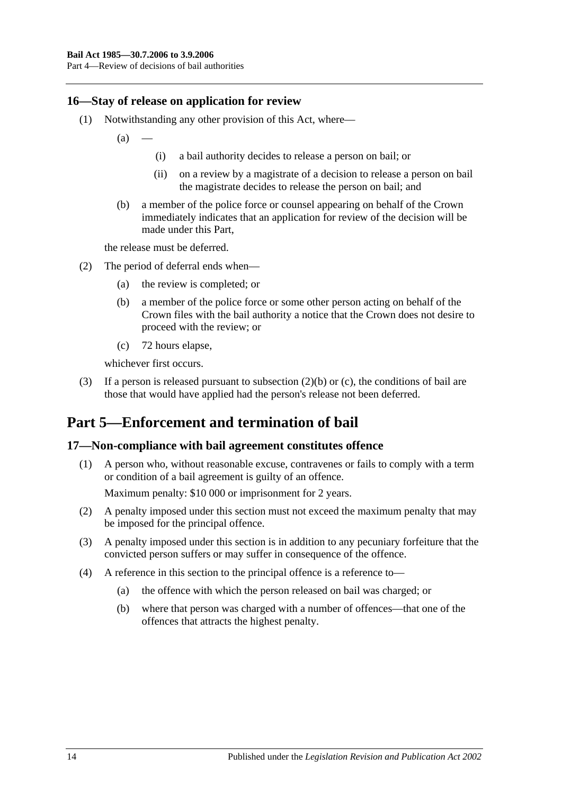#### <span id="page-13-0"></span>**16—Stay of release on application for review**

- (1) Notwithstanding any other provision of this Act, where—
	- $(a)$
- (i) a bail authority decides to release a person on bail; or
- (ii) on a review by a magistrate of a decision to release a person on bail the magistrate decides to release the person on bail; and
- (b) a member of the police force or counsel appearing on behalf of the Crown immediately indicates that an application for review of the decision will be made under this Part,

the release must be deferred.

- <span id="page-13-3"></span>(2) The period of deferral ends when—
	- (a) the review is completed; or
	- (b) a member of the police force or some other person acting on behalf of the Crown files with the bail authority a notice that the Crown does not desire to proceed with the review; or
	- (c) 72 hours elapse,

whichever first occurs.

<span id="page-13-4"></span>(3) If a person is released pursuant to [subsection](#page-13-3) (2)(b) or [\(c\),](#page-13-4) the conditions of bail are those that would have applied had the person's release not been deferred.

### <span id="page-13-1"></span>**Part 5—Enforcement and termination of bail**

#### <span id="page-13-2"></span>**17—Non-compliance with bail agreement constitutes offence**

(1) A person who, without reasonable excuse, contravenes or fails to comply with a term or condition of a bail agreement is guilty of an offence.

Maximum penalty: \$10 000 or imprisonment for 2 years.

- (2) A penalty imposed under this section must not exceed the maximum penalty that may be imposed for the principal offence.
- (3) A penalty imposed under this section is in addition to any pecuniary forfeiture that the convicted person suffers or may suffer in consequence of the offence.
- (4) A reference in this section to the principal offence is a reference to—
	- (a) the offence with which the person released on bail was charged; or
	- (b) where that person was charged with a number of offences—that one of the offences that attracts the highest penalty.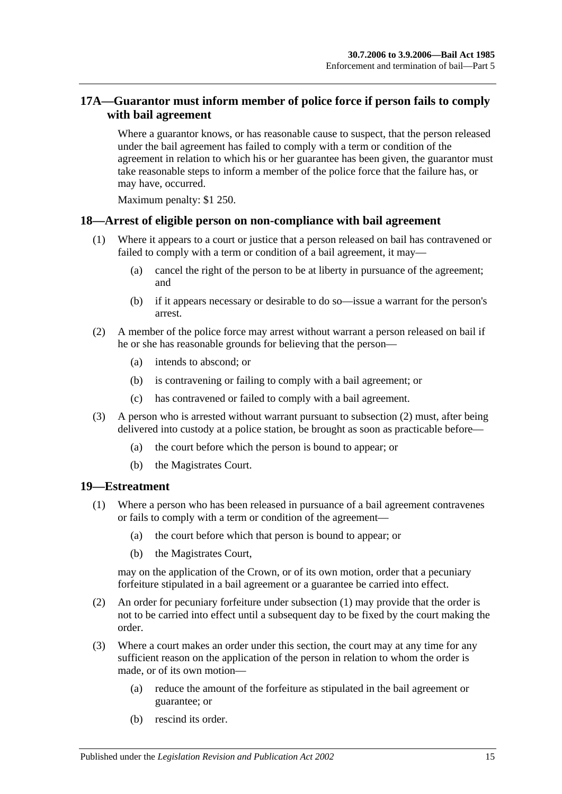### <span id="page-14-0"></span>**17A—Guarantor must inform member of police force if person fails to comply with bail agreement**

Where a guarantor knows, or has reasonable cause to suspect, that the person released under the bail agreement has failed to comply with a term or condition of the agreement in relation to which his or her guarantee has been given, the guarantor must take reasonable steps to inform a member of the police force that the failure has, or may have, occurred.

Maximum penalty: \$1 250.

#### <span id="page-14-1"></span>**18—Arrest of eligible person on non-compliance with bail agreement**

- (1) Where it appears to a court or justice that a person released on bail has contravened or failed to comply with a term or condition of a bail agreement, it may—
	- (a) cancel the right of the person to be at liberty in pursuance of the agreement; and
	- (b) if it appears necessary or desirable to do so—issue a warrant for the person's arrest.
- <span id="page-14-3"></span>(2) A member of the police force may arrest without warrant a person released on bail if he or she has reasonable grounds for believing that the person—
	- (a) intends to abscond; or
	- (b) is contravening or failing to comply with a bail agreement; or
	- (c) has contravened or failed to comply with a bail agreement.
- (3) A person who is arrested without warrant pursuant to [subsection](#page-14-3) (2) must, after being delivered into custody at a police station, be brought as soon as practicable before—
	- (a) the court before which the person is bound to appear; or
	- (b) the Magistrates Court.

#### <span id="page-14-4"></span><span id="page-14-2"></span>**19—Estreatment**

- (1) Where a person who has been released in pursuance of a bail agreement contravenes or fails to comply with a term or condition of the agreement—
	- (a) the court before which that person is bound to appear; or
	- (b) the Magistrates Court,

may on the application of the Crown, or of its own motion, order that a pecuniary forfeiture stipulated in a bail agreement or a guarantee be carried into effect.

- (2) An order for pecuniary forfeiture under [subsection](#page-14-4) (1) may provide that the order is not to be carried into effect until a subsequent day to be fixed by the court making the order.
- (3) Where a court makes an order under this section, the court may at any time for any sufficient reason on the application of the person in relation to whom the order is made, or of its own motion—
	- (a) reduce the amount of the forfeiture as stipulated in the bail agreement or guarantee; or
	- (b) rescind its order.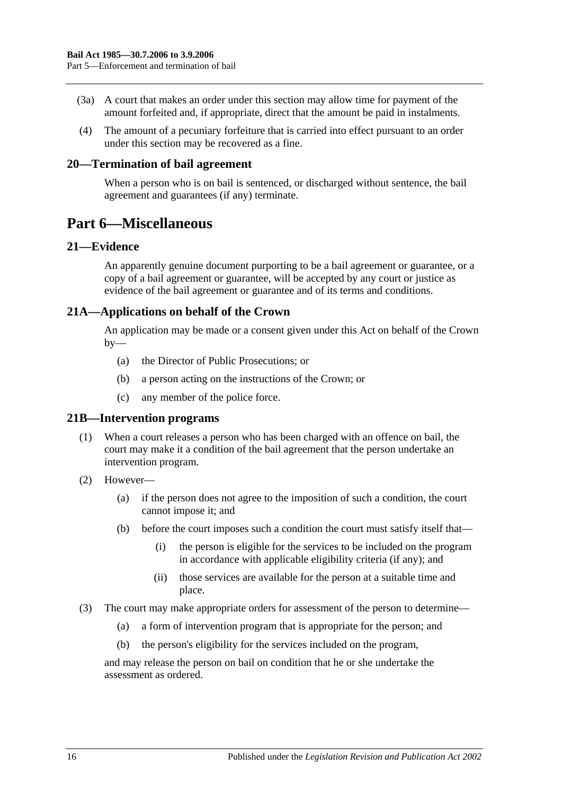- (3a) A court that makes an order under this section may allow time for payment of the amount forfeited and, if appropriate, direct that the amount be paid in instalments.
- (4) The amount of a pecuniary forfeiture that is carried into effect pursuant to an order under this section may be recovered as a fine.

#### <span id="page-15-0"></span>**20—Termination of bail agreement**

When a person who is on bail is sentenced, or discharged without sentence, the bail agreement and guarantees (if any) terminate.

### <span id="page-15-1"></span>**Part 6—Miscellaneous**

#### <span id="page-15-2"></span>**21—Evidence**

An apparently genuine document purporting to be a bail agreement or guarantee, or a copy of a bail agreement or guarantee, will be accepted by any court or justice as evidence of the bail agreement or guarantee and of its terms and conditions.

#### <span id="page-15-3"></span>**21A—Applications on behalf of the Crown**

An application may be made or a consent given under this Act on behalf of the Crown  $by-$ 

- (a) the Director of Public Prosecutions; or
- (b) a person acting on the instructions of the Crown; or
- (c) any member of the police force.

#### <span id="page-15-4"></span>**21B—Intervention programs**

- (1) When a court releases a person who has been charged with an offence on bail, the court may make it a condition of the bail agreement that the person undertake an intervention program.
- (2) However—
	- (a) if the person does not agree to the imposition of such a condition, the court cannot impose it; and
	- (b) before the court imposes such a condition the court must satisfy itself that—
		- (i) the person is eligible for the services to be included on the program in accordance with applicable eligibility criteria (if any); and
		- (ii) those services are available for the person at a suitable time and place.
- (3) The court may make appropriate orders for assessment of the person to determine—
	- (a) a form of intervention program that is appropriate for the person; and
	- (b) the person's eligibility for the services included on the program,

and may release the person on bail on condition that he or she undertake the assessment as ordered.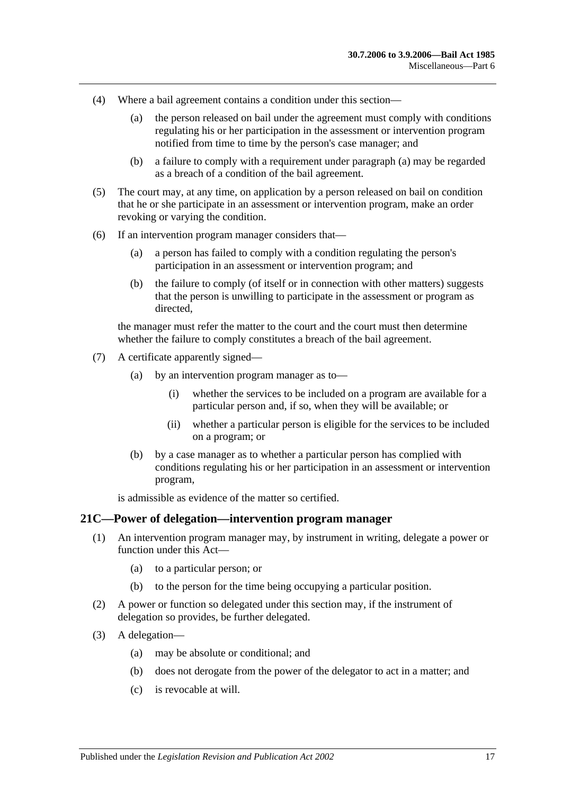- <span id="page-16-1"></span>(4) Where a bail agreement contains a condition under this section—
	- (a) the person released on bail under the agreement must comply with conditions regulating his or her participation in the assessment or intervention program notified from time to time by the person's case manager; and
	- (b) a failure to comply with a requirement under [paragraph](#page-16-1) (a) may be regarded as a breach of a condition of the bail agreement.
- (5) The court may, at any time, on application by a person released on bail on condition that he or she participate in an assessment or intervention program, make an order revoking or varying the condition.
- (6) If an intervention program manager considers that—
	- (a) a person has failed to comply with a condition regulating the person's participation in an assessment or intervention program; and
	- (b) the failure to comply (of itself or in connection with other matters) suggests that the person is unwilling to participate in the assessment or program as directed,

the manager must refer the matter to the court and the court must then determine whether the failure to comply constitutes a breach of the bail agreement.

- (7) A certificate apparently signed—
	- (a) by an intervention program manager as to—
		- (i) whether the services to be included on a program are available for a particular person and, if so, when they will be available; or
		- (ii) whether a particular person is eligible for the services to be included on a program; or
	- (b) by a case manager as to whether a particular person has complied with conditions regulating his or her participation in an assessment or intervention program,

is admissible as evidence of the matter so certified.

#### <span id="page-16-0"></span>**21C—Power of delegation—intervention program manager**

- (1) An intervention program manager may, by instrument in writing, delegate a power or function under this Act—
	- (a) to a particular person; or
	- (b) to the person for the time being occupying a particular position.
- (2) A power or function so delegated under this section may, if the instrument of delegation so provides, be further delegated.
- (3) A delegation—
	- (a) may be absolute or conditional; and
	- (b) does not derogate from the power of the delegator to act in a matter; and
	- (c) is revocable at will.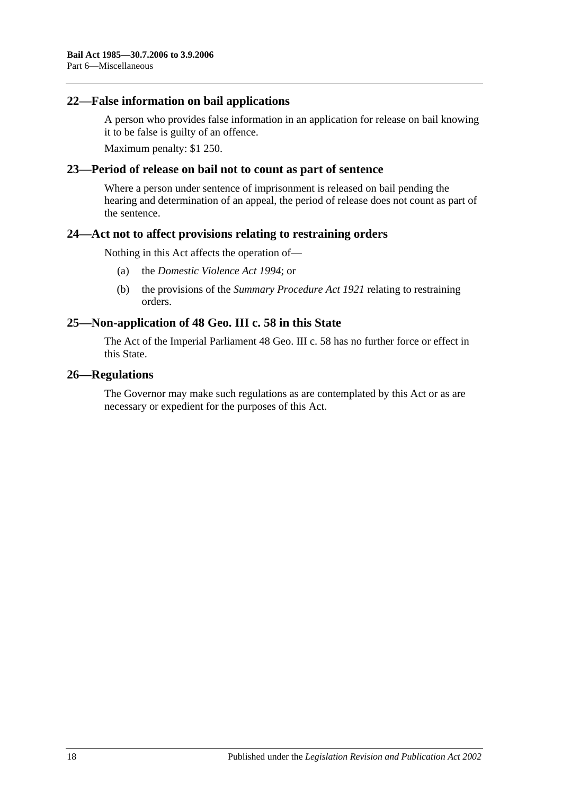#### <span id="page-17-0"></span>**22—False information on bail applications**

A person who provides false information in an application for release on bail knowing it to be false is guilty of an offence.

Maximum penalty: \$1 250.

#### <span id="page-17-1"></span>**23—Period of release on bail not to count as part of sentence**

Where a person under sentence of imprisonment is released on bail pending the hearing and determination of an appeal, the period of release does not count as part of the sentence.

#### <span id="page-17-2"></span>**24—Act not to affect provisions relating to restraining orders**

Nothing in this Act affects the operation of—

- (a) the *[Domestic Violence Act](http://www.legislation.sa.gov.au/index.aspx?action=legref&type=act&legtitle=Domestic%20Violence%20Act%201994) 1994*; or
- (b) the provisions of the *[Summary Procedure Act](http://www.legislation.sa.gov.au/index.aspx?action=legref&type=act&legtitle=Summary%20Procedure%20Act%201921) 1921* relating to restraining orders.

#### <span id="page-17-3"></span>**25—Non-application of 48 Geo. III c. 58 in this State**

The Act of the Imperial Parliament 48 Geo. III c. 58 has no further force or effect in this State.

#### <span id="page-17-4"></span>**26—Regulations**

The Governor may make such regulations as are contemplated by this Act or as are necessary or expedient for the purposes of this Act.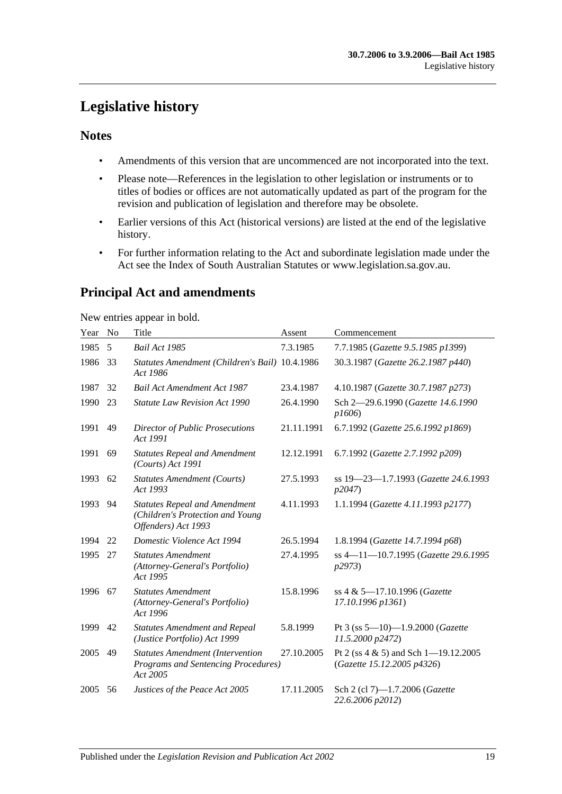# <span id="page-18-0"></span>**Legislative history**

#### **Notes**

- Amendments of this version that are uncommenced are not incorporated into the text.
- Please note—References in the legislation to other legislation or instruments or to titles of bodies or offices are not automatically updated as part of the program for the revision and publication of legislation and therefore may be obsolete.
- Earlier versions of this Act (historical versions) are listed at the end of the legislative history.
- For further information relating to the Act and subordinate legislation made under the Act see the Index of South Australian Statutes or www.legislation.sa.gov.au.

### **Principal Act and amendments**

New entries appear in bold.

| Year | No | Title                                                                                           | Assent     | Commencement                                                           |
|------|----|-------------------------------------------------------------------------------------------------|------------|------------------------------------------------------------------------|
| 1985 | 5  | Bail Act 1985                                                                                   | 7.3.1985   | 7.7.1985 (Gazette 9.5.1985 p1399)                                      |
| 1986 | 33 | Statutes Amendment (Children's Bail) 10.4.1986<br>Act 1986                                      |            | 30.3.1987 (Gazette 26.2.1987 p440)                                     |
| 1987 | 32 | <b>Bail Act Amendment Act 1987</b>                                                              | 23.4.1987  | 4.10.1987 (Gazette 30.7.1987 p273)                                     |
| 1990 | 23 | <b>Statute Law Revision Act 1990</b>                                                            | 26.4.1990  | Sch 2-29.6.1990 (Gazette 14.6.1990<br>p1606                            |
| 1991 | 49 | <b>Director of Public Prosecutions</b><br>Act 1991                                              | 21.11.1991 | 6.7.1992 (Gazette 25.6.1992 p1869)                                     |
| 1991 | 69 | <b>Statutes Repeal and Amendment</b><br>(Courts) Act 1991                                       | 12.12.1991 | 6.7.1992 (Gazette 2.7.1992 p209)                                       |
| 1993 | 62 | <b>Statutes Amendment (Courts)</b><br>Act 1993                                                  | 27.5.1993  | ss 19-23-1.7.1993 (Gazette 24.6.1993<br>p2047                          |
| 1993 | 94 | <b>Statutes Repeal and Amendment</b><br>(Children's Protection and Young<br>Offenders) Act 1993 | 4.11.1993  | 1.1.1994 (Gazette 4.11.1993 p2177)                                     |
| 1994 | 22 | Domestic Violence Act 1994                                                                      | 26.5.1994  | 1.8.1994 (Gazette 14.7.1994 p68)                                       |
| 1995 | 27 | <b>Statutes Amendment</b><br>(Attorney-General's Portfolio)<br>Act 1995                         | 27.4.1995  | ss 4-11-10.7.1995 (Gazette 29.6.1995<br>p2973                          |
| 1996 | 67 | <b>Statutes Amendment</b><br>(Attorney-General's Portfolio)<br>Act 1996                         | 15.8.1996  | ss 4 & 5-17.10.1996 (Gazette<br>17.10.1996 p1361)                      |
| 1999 | 42 | <b>Statutes Amendment and Repeal</b><br>(Justice Portfolio) Act 1999                            | 5.8.1999   | Pt 3 (ss $5-10$ )-1.9.2000 (Gazette<br>11.5.2000 p2472)                |
| 2005 | 49 | <b>Statutes Amendment (Intervention</b><br>Programs and Sentencing Procedures)<br>Act 2005      | 27.10.2005 | Pt 2 (ss $4 \& 5$ ) and Sch 1-19.12.2005<br>(Gazette 15.12.2005 p4326) |
| 2005 | 56 | Justices of the Peace Act 2005                                                                  | 17.11.2005 | Sch 2 (cl 7)-1.7.2006 (Gazette<br>22.6.2006 p2012)                     |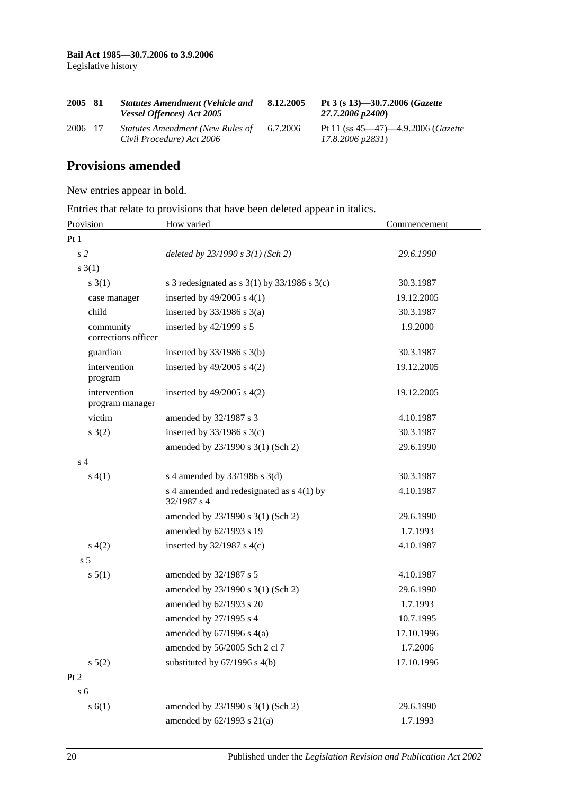| 2005 81 | <b>Statutes Amendment (Vehicle and</b><br>Vessel Offences) Act 2005 | 8.12.2005 | Pt 3 (s 13)-30.7.2006 ( <i>Gazette</i><br>27.7.2006 p2400)                    |
|---------|---------------------------------------------------------------------|-----------|-------------------------------------------------------------------------------|
| 2006 17 | Statutes Amendment (New Rules of<br>Civil Procedure) Act 2006       | 6.7.2006  | Pt 11 (ss $45-47$ ) $-4.9.2006$ ( <i>Gazette</i><br>$17.8.2006 \text{ p}2831$ |

### **Provisions amended**

New entries appear in bold.

Entries that relate to provisions that have been deleted appear in italics.

| Provision                        | How varied                                                 | Commencement |
|----------------------------------|------------------------------------------------------------|--------------|
| Pt1                              |                                                            |              |
| s <sub>2</sub>                   | deleted by $23/1990 s 3(1)$ (Sch 2)                        | 29.6.1990    |
| s(1)                             |                                                            |              |
| s(3(1))                          | s 3 redesignated as s $3(1)$ by $33/1986$ s $3(c)$         | 30.3.1987    |
| case manager                     | inserted by $49/2005$ s $4(1)$                             | 19.12.2005   |
| child                            | inserted by $33/1986$ s $3(a)$                             | 30.3.1987    |
| community<br>corrections officer | inserted by 42/1999 s 5                                    | 1.9.2000     |
| guardian                         | inserted by $33/1986$ s $3(b)$                             | 30.3.1987    |
| intervention<br>program          | inserted by $49/2005$ s $4(2)$                             | 19.12.2005   |
| intervention<br>program manager  | inserted by $49/2005$ s $4(2)$                             | 19.12.2005   |
| victim                           | amended by 32/1987 s 3                                     | 4.10.1987    |
| s(2)                             | inserted by $33/1986$ s 3(c)                               | 30.3.1987    |
|                                  | amended by 23/1990 s 3(1) (Sch 2)                          | 29.6.1990    |
| s <sub>4</sub>                   |                                                            |              |
| s(4(1))                          | s 4 amended by $33/1986$ s $3(d)$                          | 30.3.1987    |
|                                  | s 4 amended and redesignated as $s$ 4(1) by<br>32/1987 s 4 | 4.10.1987    |
|                                  | amended by 23/1990 s 3(1) (Sch 2)                          | 29.6.1990    |
|                                  | amended by 62/1993 s 19                                    | 1.7.1993     |
| s(4(2)                           | inserted by $32/1987$ s 4(c)                               | 4.10.1987    |
| s <sub>5</sub>                   |                                                            |              |
| s 5(1)                           | amended by 32/1987 s 5                                     | 4.10.1987    |
|                                  | amended by 23/1990 s 3(1) (Sch 2)                          | 29.6.1990    |
|                                  | amended by 62/1993 s 20                                    | 1.7.1993     |
|                                  | amended by 27/1995 s 4                                     | 10.7.1995    |
|                                  | amended by $67/1996$ s $4(a)$                              | 17.10.1996   |
|                                  | amended by 56/2005 Sch 2 cl 7                              | 1.7.2006     |
| $s\ 5(2)$                        | substituted by $67/1996$ s $4(b)$                          | 17.10.1996   |
| Pt 2                             |                                                            |              |
| s <sub>6</sub>                   |                                                            |              |
| s(6(1))                          | amended by 23/1990 s 3(1) (Sch 2)                          | 29.6.1990    |
|                                  | amended by $62/1993$ s $21(a)$                             | 1.7.1993     |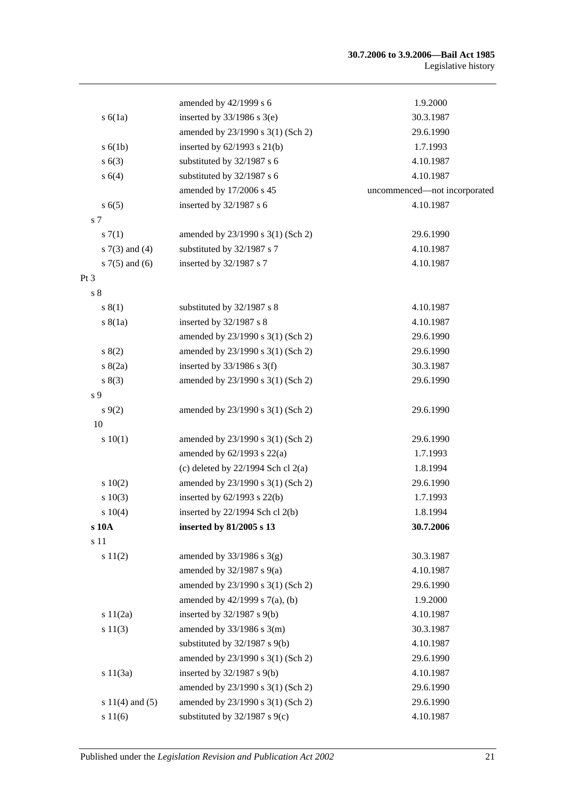#### **30.7.2006 to 3.9.2006—Bail Act 1985** Legislative history

|                     | amended by 42/1999 s 6                 | 1.9.2000                     |
|---------------------|----------------------------------------|------------------------------|
| s(6(1a))            | inserted by $33/1986$ s $3(e)$         | 30.3.1987                    |
|                     | amended by 23/1990 s 3(1) (Sch 2)      | 29.6.1990                    |
| s(6(1b))            | inserted by $62/1993$ s $21(b)$        | 1.7.1993                     |
| s(6(3))             | substituted by 32/1987 s 6             | 4.10.1987                    |
| s 6(4)              | substituted by 32/1987 s 6             | 4.10.1987                    |
|                     | amended by 17/2006 s 45                | uncommenced-not incorporated |
| s(6(5)              | inserted by 32/1987 s 6                | 4.10.1987                    |
| s 7                 |                                        |                              |
| s(7(1)              | amended by 23/1990 s 3(1) (Sch 2)      | 29.6.1990                    |
| $s \, 7(3)$ and (4) | substituted by 32/1987 s 7             | 4.10.1987                    |
| $s \, 7(5)$ and (6) | inserted by 32/1987 s 7                | 4.10.1987                    |
| Pt <sub>3</sub>     |                                        |                              |
| s <sub>8</sub>      |                                        |                              |
| s(1)                | substituted by 32/1987 s 8             | 4.10.1987                    |
| s(8(1a))            | inserted by 32/1987 s 8                | 4.10.1987                    |
|                     | amended by 23/1990 s 3(1) (Sch 2)      | 29.6.1990                    |
| s(2)                | amended by 23/1990 s 3(1) (Sch 2)      | 29.6.1990                    |
| s(2a)               | inserted by $33/1986$ s 3(f)           | 30.3.1987                    |
| s(3)                | amended by 23/1990 s 3(1) (Sch 2)      | 29.6.1990                    |
| s 9                 |                                        |                              |
| $s \, 9(2)$         | amended by 23/1990 s 3(1) (Sch 2)      | 29.6.1990                    |
| 10                  |                                        |                              |
| 10(1)               | amended by 23/1990 s 3(1) (Sch 2)      | 29.6.1990                    |
|                     | amended by 62/1993 s 22(a)             | 1.7.1993                     |
|                     | (c) deleted by $22/1994$ Sch cl $2(a)$ | 1.8.1994                     |
| 10(2)               | amended by 23/1990 s 3(1) (Sch 2)      | 29.6.1990                    |
| s 10(3)             | inserted by $62/1993$ s $22(b)$        | 1.7.1993                     |
| $s \ 10(4)$         | inserted by $22/1994$ Sch cl $2(b)$    | 1.8.1994                     |
| s 10A               | inserted by 81/2005 s 13               | 30.7.2006                    |
| s 11                |                                        |                              |
| s 11(2)             | amended by $33/1986$ s $3(g)$          | 30.3.1987                    |
|                     | amended by $32/1987$ s $9(a)$          | 4.10.1987                    |
|                     | amended by 23/1990 s 3(1) (Sch 2)      | 29.6.1990                    |
|                     | amended by $42/1999$ s $7(a)$ , (b)    | 1.9.2000                     |
| 11(2a)              | inserted by $32/1987$ s $9(b)$         | 4.10.1987                    |
| s 11(3)             | amended by $33/1986$ s $3(m)$          | 30.3.1987                    |
|                     | substituted by $32/1987$ s $9(b)$      | 4.10.1987                    |
|                     | amended by 23/1990 s 3(1) (Sch 2)      | 29.6.1990                    |
| s $11(3a)$          | inserted by $32/1987$ s $9(b)$         | 4.10.1987                    |
|                     | amended by 23/1990 s 3(1) (Sch 2)      | 29.6.1990                    |
| s $11(4)$ and $(5)$ | amended by 23/1990 s 3(1) (Sch 2)      | 29.6.1990                    |
| s 11(6)             | substituted by $32/1987$ s $9(c)$      | 4.10.1987                    |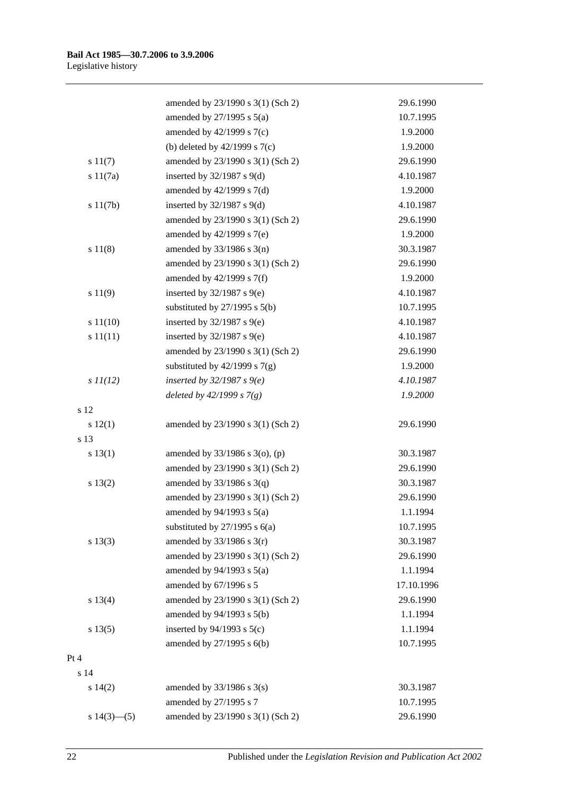|                | amended by 23/1990 s 3(1) (Sch 2)   | 29.6.1990  |
|----------------|-------------------------------------|------------|
|                | amended by $27/1995$ s $5(a)$       | 10.7.1995  |
|                | amended by $42/1999$ s $7(c)$       | 1.9.2000   |
|                | (b) deleted by $42/1999$ s $7(c)$   | 1.9.2000   |
| s 11(7)        | amended by 23/1990 s 3(1) (Sch 2)   | 29.6.1990  |
| s 11(7a)       | inserted by $32/1987$ s $9(d)$      | 4.10.1987  |
|                | amended by $42/1999$ s $7(d)$       | 1.9.2000   |
| s 11(7b)       | inserted by $32/1987$ s $9(d)$      | 4.10.1987  |
|                | amended by 23/1990 s 3(1) (Sch 2)   | 29.6.1990  |
|                | amended by 42/1999 s 7(e)           | 1.9.2000   |
| s 11(8)        | amended by $33/1986$ s $3(n)$       | 30.3.1987  |
|                | amended by 23/1990 s 3(1) (Sch 2)   | 29.6.1990  |
|                | amended by 42/1999 s 7(f)           | 1.9.2000   |
| s 11(9)        | inserted by $32/1987$ s $9(e)$      | 4.10.1987  |
|                | substituted by $27/1995$ s $5(b)$   | 10.7.1995  |
| s 11(10)       | inserted by $32/1987$ s $9(e)$      | 4.10.1987  |
| s 11(11)       | inserted by $32/1987$ s $9(e)$      | 4.10.1987  |
|                | amended by 23/1990 s 3(1) (Sch 2)   | 29.6.1990  |
|                | substituted by $42/1999$ s $7(g)$   | 1.9.2000   |
| $s$ $11(12)$   | inserted by $32/1987 s$ 9(e)        | 4.10.1987  |
|                | deleted by $42/1999 s 7(g)$         | 1.9.2000   |
| s 12           |                                     |            |
| s 12(1)        | amended by 23/1990 s 3(1) (Sch 2)   | 29.6.1990  |
| s 13           |                                     |            |
| s 13(1)        | amended by $33/1986$ s $3$ (o), (p) | 30.3.1987  |
|                | amended by 23/1990 s 3(1) (Sch 2)   | 29.6.1990  |
| s 13(2)        | amended by $33/1986$ s $3(q)$       | 30.3.1987  |
|                | amended by 23/1990 s 3(1) (Sch 2)   | 29.6.1990  |
|                | amended by $94/1993$ s $5(a)$       | 1.1.1994   |
|                | substituted by $27/1995$ s $6(a)$   | 10.7.1995  |
| s 13(3)        | amended by $33/1986$ s $3(r)$       | 30.3.1987  |
|                | amended by 23/1990 s 3(1) (Sch 2)   | 29.6.1990  |
|                | amended by $94/1993$ s $5(a)$       | 1.1.1994   |
|                | amended by 67/1996 s 5              | 17.10.1996 |
| s 13(4)        | amended by 23/1990 s 3(1) (Sch 2)   | 29.6.1990  |
|                | amended by 94/1993 s 5(b)           | 1.1.1994   |
| s 13(5)        | inserted by $94/1993$ s $5(c)$      | 1.1.1994   |
|                | amended by 27/1995 s 6(b)           | 10.7.1995  |
| Pt 4           |                                     |            |
| s 14           |                                     |            |
| $s\ 14(2)$     | amended by $33/1986$ s $3(s)$       | 30.3.1987  |
|                | amended by 27/1995 s 7              | 10.7.1995  |
| s $14(3)$ —(5) | amended by 23/1990 s 3(1) (Sch 2)   | 29.6.1990  |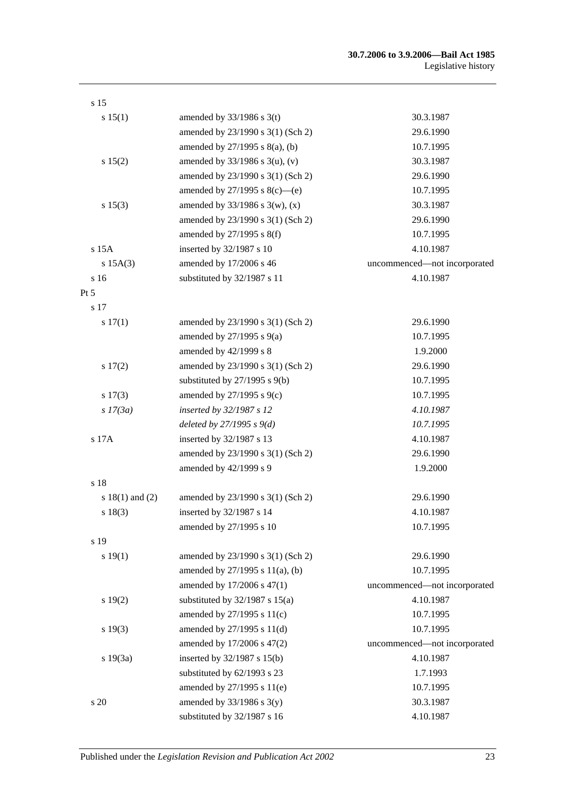| s 15                |                                     |                              |
|---------------------|-------------------------------------|------------------------------|
| s 15(1)             | amended by $33/1986$ s 3(t)         | 30.3.1987                    |
|                     | amended by 23/1990 s 3(1) (Sch 2)   | 29.6.1990                    |
|                     | amended by $27/1995$ s $8(a)$ , (b) | 10.7.1995                    |
| s 15(2)             | amended by $33/1986$ s $3(u)$ , (v) | 30.3.1987                    |
|                     | amended by 23/1990 s 3(1) (Sch 2)   | 29.6.1990                    |
|                     | amended by $27/1995$ s $8(c)$ —(e)  | 10.7.1995                    |
| s 15(3)             | amended by $33/1986$ s $3(w)$ , (x) | 30.3.1987                    |
|                     | amended by 23/1990 s 3(1) (Sch 2)   | 29.6.1990                    |
|                     | amended by 27/1995 s 8(f)           | 10.7.1995                    |
| s 15A               | inserted by 32/1987 s 10            | 4.10.1987                    |
| s 15A(3)            | amended by 17/2006 s 46             | uncommenced-not incorporated |
| s 16                | substituted by 32/1987 s 11         | 4.10.1987                    |
| Pt 5                |                                     |                              |
| s 17                |                                     |                              |
| s 17(1)             | amended by 23/1990 s 3(1) (Sch 2)   | 29.6.1990                    |
|                     | amended by $27/1995$ s $9(a)$       | 10.7.1995                    |
|                     | amended by 42/1999 s 8              | 1.9.2000                     |
| 17(2)               | amended by 23/1990 s 3(1) (Sch 2)   | 29.6.1990                    |
|                     | substituted by $27/1995$ s $9(b)$   | 10.7.1995                    |
| s 17(3)             | amended by $27/1995$ s $9(c)$       | 10.7.1995                    |
| $s$ 17(3a)          | inserted by 32/1987 s 12            | 4.10.1987                    |
|                     | deleted by $27/1995 s 9(d)$         | 10.7.1995                    |
| $\sqrt{s}$ 17A      | inserted by 32/1987 s 13            | 4.10.1987                    |
|                     | amended by 23/1990 s 3(1) (Sch 2)   | 29.6.1990                    |
|                     | amended by 42/1999 s 9              | 1.9.2000                     |
| s 18                |                                     |                              |
| s $18(1)$ and $(2)$ | amended by 23/1990 s 3(1) (Sch 2)   | 29.6.1990                    |
| s 18(3)             | inserted by 32/1987 s 14            | 4.10.1987                    |
|                     | amended by 27/1995 s 10             | 10.7.1995                    |
| s 19                |                                     |                              |
| s 19(1)             | amended by 23/1990 s 3(1) (Sch 2)   | 29.6.1990                    |
|                     | amended by 27/1995 s 11(a), (b)     | 10.7.1995                    |
|                     | amended by 17/2006 s 47(1)          | uncommenced-not incorporated |
| s 19(2)             | substituted by $32/1987$ s $15(a)$  | 4.10.1987                    |
|                     | amended by 27/1995 s 11(c)          | 10.7.1995                    |
| s 19(3)             | amended by 27/1995 s 11(d)          | 10.7.1995                    |
|                     | amended by 17/2006 s 47(2)          | uncommenced-not incorporated |
| s 19(3a)            | inserted by 32/1987 s 15(b)         | 4.10.1987                    |
|                     | substituted by 62/1993 s 23         | 1.7.1993                     |
|                     | amended by 27/1995 s 11(e)          | 10.7.1995                    |
| s 20                | amended by $33/1986$ s $3(y)$       | 30.3.1987                    |
|                     | substituted by 32/1987 s 16         | 4.10.1987                    |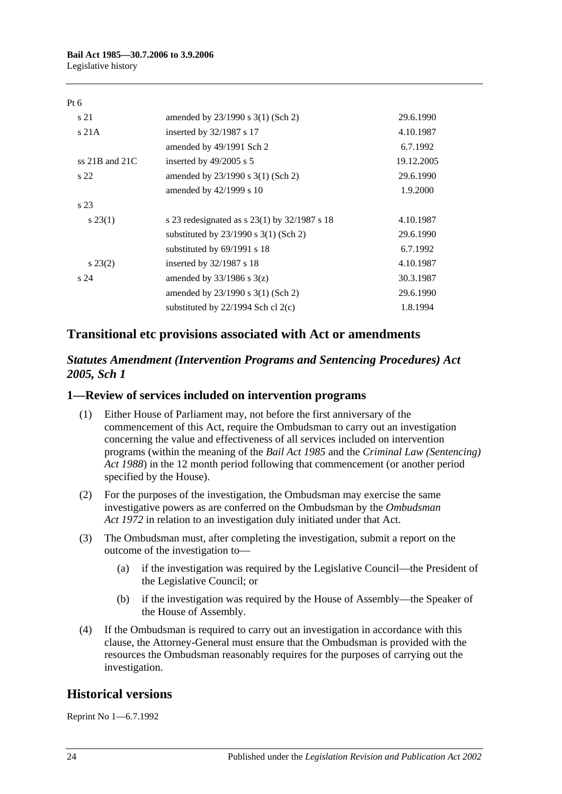#### Pt 6

| s 21               | amended by 23/1990 s 3(1) (Sch 2)                | 29.6.1990  |
|--------------------|--------------------------------------------------|------------|
| s 21A              | inserted by 32/1987 s 17                         | 4.10.1987  |
|                    | amended by 49/1991 Sch 2                         | 6.7.1992   |
| ss $21B$ and $21C$ | inserted by $49/2005$ s 5                        | 19.12.2005 |
| s <sub>22</sub>    | amended by 23/1990 s 3(1) (Sch 2)                | 29.6.1990  |
|                    | amended by 42/1999 s 10                          | 1.9.2000   |
| s <sub>23</sub>    |                                                  |            |
| $s\,23(1)$         | s 23 redesignated as s $23(1)$ by $32/1987$ s 18 | 4.10.1987  |
|                    | substituted by $23/1990$ s $3(1)$ (Sch 2)        | 29.6.1990  |
|                    | substituted by $69/1991$ s 18                    | 6.7.1992   |
| $s\,23(2)$         | inserted by 32/1987 s 18                         | 4.10.1987  |
| s <sub>24</sub>    | amended by $33/1986$ s $3(z)$                    | 30.3.1987  |
|                    | amended by $23/1990$ s $3(1)$ (Sch 2)            | 29.6.1990  |
|                    | substituted by $22/1994$ Sch cl $2(c)$           | 1.8.1994   |

### **Transitional etc provisions associated with Act or amendments**

#### *Statutes Amendment (Intervention Programs and Sentencing Procedures) Act 2005, Sch 1*

#### **1—Review of services included on intervention programs**

- (1) Either House of Parliament may, not before the first anniversary of the commencement of this Act, require the Ombudsman to carry out an investigation concerning the value and effectiveness of all services included on intervention programs (within the meaning of the *[Bail Act](http://www.legislation.sa.gov.au/index.aspx?action=legref&type=act&legtitle=Bail%20Act%201985) 1985* and the *[Criminal Law \(Sentencing\)](http://www.legislation.sa.gov.au/index.aspx?action=legref&type=act&legtitle=Criminal%20Law%20(Sentencing)%20Act%201988)  Act [1988](http://www.legislation.sa.gov.au/index.aspx?action=legref&type=act&legtitle=Criminal%20Law%20(Sentencing)%20Act%201988)*) in the 12 month period following that commencement (or another period specified by the House).
- (2) For the purposes of the investigation, the Ombudsman may exercise the same investigative powers as are conferred on the Ombudsman by the *[Ombudsman](http://www.legislation.sa.gov.au/index.aspx?action=legref&type=act&legtitle=Ombudsman%20Act%201972)  Act [1972](http://www.legislation.sa.gov.au/index.aspx?action=legref&type=act&legtitle=Ombudsman%20Act%201972)* in relation to an investigation duly initiated under that Act.
- (3) The Ombudsman must, after completing the investigation, submit a report on the outcome of the investigation to—
	- (a) if the investigation was required by the Legislative Council—the President of the Legislative Council; or
	- (b) if the investigation was required by the House of Assembly—the Speaker of the House of Assembly.
- (4) If the Ombudsman is required to carry out an investigation in accordance with this clause, the Attorney-General must ensure that the Ombudsman is provided with the resources the Ombudsman reasonably requires for the purposes of carrying out the investigation.

### **Historical versions**

Reprint No 1—6.7.1992